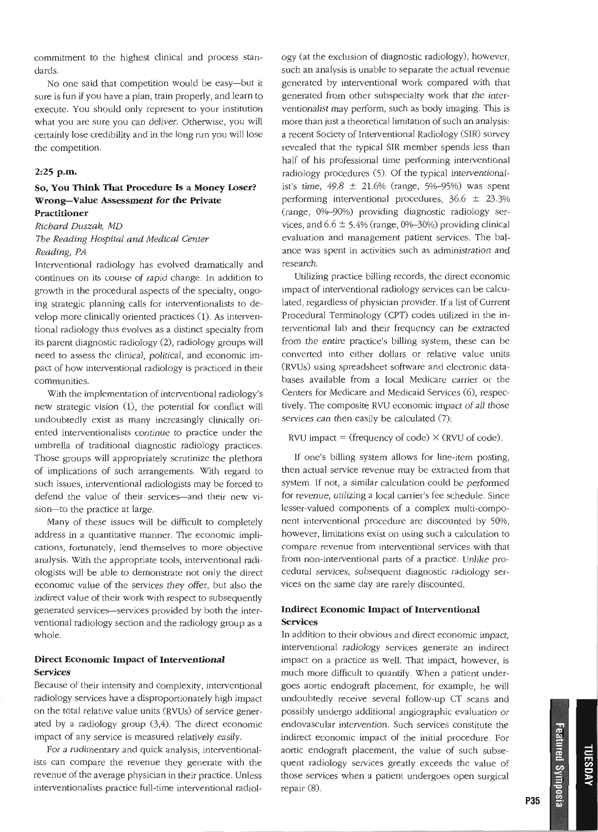commitment to the highest clinical and process standards.

No one said that competition would be easy-but it sure is fun if you have a plan, train properly, and learn to execute. You should only represent to your institution what you are sure you can deliver. Otherwise, you will certainly lose credibility and in the long run you will lose the competition.

#### **2:25 p.m.**

### **So, You Think That Procedure Is a Money Loser? Wrong--Value Assessment for the Private Practitioner**

 $Richard$  *Duszak*, *MD* 

# *7be Reading Hospital and Medical Center Reading, PA*

Interventional radiology has evolved dramatically and continues on its course of rapid change. In addition to growth in the procedural aspects of the specialty, ongoing strategie planning calls for interventionalists to develop more clinically oriented practices (1). As interventional radiology thus evolves as a distinct specialty from its parent diagnostic radiology (2), radiology groups will need to assess the clinical, poJitical, and economic impact of how interventional radiology is practiced in their communities.

With the implementation of interventional radiology's new strategic vision (1), the potential for conflict will undoubtedly exist as many increasingly clinically oriented interventionalists continue to practice under the umbrella of traditional diagnostic radiology practices. Those groups will appropriately scrutinize the plethora of implications of such arrangements. With regard to such issues, interventional radiologists may be forced to defend the value of their services-and their new vision-to the practice at large.

Many of these issues will be difficult to completely address in a quantitative manner. The economic implications, fortunately, lend themselves to more objective analysis. With the appropriate tools, interventional radiologists will be able to demonstrate not only the direct economic value of the services they offer, but also the indirect value of their work with respect to subsequently generated services-services provided by both the interventional radiology section and the radiology group as a whole.

## **Direct Economic Impact of Interventional Services**

Because of their intensity and complexity, interventional radiology services have a disproportionately high impact on the total relative value units (RVUs) of service generated by a radiology group  $(3,4)$ . The direct economic impact of any service is measured relatively easily.

For a rudimentary and quick analysis, interventionalists can compare the revenue they generate with the revenue of the average physician in their practice. Unless interventionalists practice full-time interventional radiology (at the exclusion of diagnostic radiology), however, such an analysis is unable to separate the actual revenue generated by interventional work compared with that generated from other subspecialty work that the interventionalist may perform, such as body imaging. This is more than just a theoretical limitation of such an analysis: a recent Society of Interventional Radiology (SIR) survey revealed that the typical SIR member spends less than half of his professional time performing interventional radiology procedures (5). Of the typical interventionalist's time,  $49.8 \pm 21.6\%$  (range,  $5\%$ -95%) was spent performing interventional procedures, 36.6 ± 23.3% (range, 0%-90%) providing diagnostic radiology services, and  $6.6 \pm 5.4\%$  (range, 0%-30%) providing clinical evaluation and management patient services. The balance was spent in activities such as administration and research.

Utilizing practice billing records, the direct economic impact of interventional radiology services can be calculated, regardless of physician provider. If a list of Current Procedural Terminology (CPT) codes utilized in the interventional lab and their frequency can be extracted from the entire practice's billing system, these can be converted into either dollars or relative value units (RVUs) using spreadsheet software and electronic databases available from a local Medicare carrier or the Centers for Medicare and Medicaid Services (6), respectively. The composite RVU economic impact of aJl those services can then easily be calculated (7):

#### RVU impact = (frequency of code)  $\times$  (RVU of code).

If one's billing system allows for line-item posting, then actual service revenue may be extracted from that system. If not, a similar calculation could be performed for revenue, utilizing a local carrier's fee schedule. Since lesser-valued components of a complex multi-component interventional procedure are discounted by 50%, however, limitations exist on using such a calculation to compare revenue from interventional services with that from non-interventional parts of a practice. Unlike procedural services, subsequent diagnostic radiology services on the same day are rarely discounted.

### **Indirect Economic Impact of Interventional Services**

In addition to their obvious and direct economic impact, interventional radiology services generate an indirect impact on a practice as well. That impact, however, is much more difficult to quantify. When a patient undergoes aortic endograft placement, for example, he will undoubtedly receive several follow-up CT scans and possibly undergo additional angiographic evaluation or endovascular intervention. Such services conslitute the indirect economic impact of the initial procedure. For aortic endograft placement, the value of such subsequent radiology services greatly exceeds the value of those services when a patient undergoes open surgical repair (8).

Featured Symposia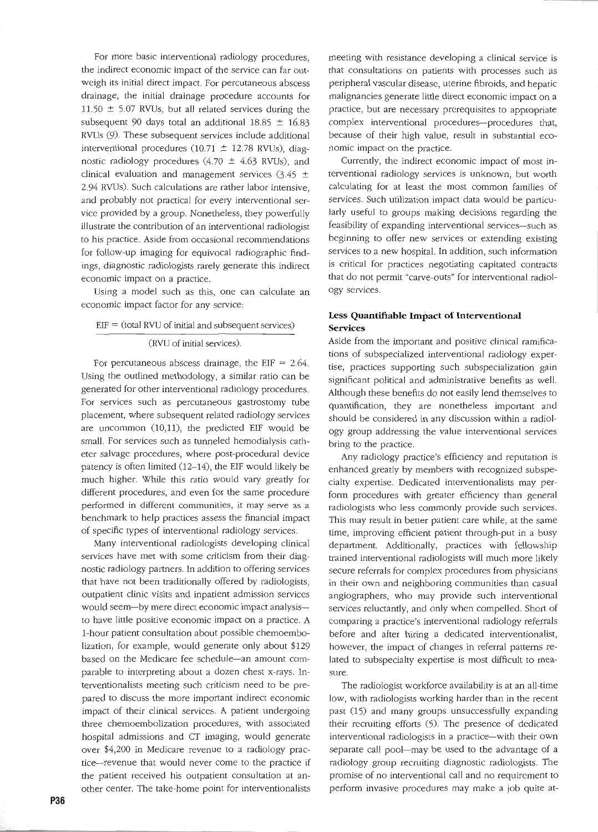For more basic interventional radiology procedures, the indirect economic impact of the service can far outweigh its initial direct impact. For percutaneous abscess drainage. the initial drainage procedure accounts for 11.50  $\pm$  5.07 RVUs, but all related services during the subsequent 90 days total an additional 18.85  $\pm$  16.83 RVUs (9). These subsequent services include additional interventional procedures (10.71  $\pm$  12.78 RVUs), diagnostic radiology procedures (4.70  $\pm$  4.63 RVUs), and clinical evaluation and management services  $(3.45 \pm$ 2.94 RVUs). Such calculations are rather labor intensive, and probably not practical for every interventional service provided by a group. Nonetheless, they powerfully illustrate the contribution of an interventional radiologist to his practice. Aside from occasional recommendations for follow-up imaging for equivocal radiographic findings, diagnostic radiologists rarely generate this indirect economic impact on a practice.

Using a model such as this, one can calculate an economic impact factor for any service:

#### $EIF = (total RVU of initial and subsequent services)$

#### (RVU of initial services).

For percutaneous abscess drainage, the EIF  $= 2.64$ . Using the outlined methodology, a similar ratio can be generated for other interventional radiology procedures. For services such as percutaneous gastrostomy tube placement, where subsequent related radioJogy services are uncommon (10,11), the predicted EIF would be smalI. For services such as tunneled hemodialysis catheter salvage procedures. where post-procedural device patency is often limited (12-14), the EIF would likely be much higher. While this ratio would vary greatly for different procedures, and even for the same procedure performed in different communities, it may serve as a benchmark to help practices assess the financial impact of specific types of interventional radiology services.

Many interventional radiologists developing clinical services have met with some criticism from their diagnostic radiology partners. In addition to offering services that have not been traditionally offered by radiologists, outpatient clinic visits and inpatient admission services would seem-by mere direct economic impact analysis-to have little positive economic impact on a practice. A l-hour patient consultation about possible chemoembolization, for example, would generate only about \$129 based on the Medicare fee schedule-an amount comparable to interpreting about a dozen chest x-rays. Interventionalists meeting such criticism need to be prepared to discuss the more important indireet economic impact of their clinical services. A patient undergoing three chemoembolization procedures, with associated hospital admissions and CT imaging, would generate over \$4,200 in Medicare revenue to a radiology practice--revenue that would never come to the practice if the patient received his outpatient consultation at another center. The take-home point for interventionalists

meeting with resistance developing a clinical service is that consultations on patients with processes such as peripheral vascular disease, uterine nbroids, and hepatic malignancies generate little direet economic impact on a practice, but are necessary prerequisites to appropriate complex interventional procedures-procedures that, because of their high value, result in substantial economie impact on the practice.

Currently, the indirect economic impact of most interventional radioJogy services is unknown, but worth calculating for at least the most common families of services. Such utilization impact data would be particularly useful to groups making decisions regarding the feasibility of expanding interventional services-such as beginning to offer new services or extending existing services to a new hospital. In addition, such information is critical for practices negotiating capitated contracts that do not permit "carve-outs" for interventional radiology services.

### Less **Quantifiable Impact of Interventional** Services

Aside from the important and positive clinical ramifications of subspecialized interventional radiology expertise, practices supporting such subspecialization gain significant political and administrative benefits as well. Although these benefits do not easily lend themselves to quantification, they are nonetheless important and should be considered in any discussion within a radiology group addressing the value interventional services bring to the practice.

Any radiology practice's efficiency and reputation is enhanced greatly by members with recognized subspecialty expertise. Dedicated interventionalists may perform procedures with greater efficiency than generał radiologists who less commonly provide such services. This may result in better patient care while, at the same time, improving efficient patient through-put in a busy department. Additionally, praetices with fellowship trained interventional radiologists wiU much more likely secure referrals for complex procedures from physicians in their own and neighboring communities than casual angiographers, who may provide such interventional services reluctantly, and only when compelled. Short of comparing a practice's interventional radiology referrals before and after hiring a dedicated interventionalist, however, the impact of changes in referral patterns related to subspecialty expertise is most difficult to measure.

The radiologist workforce availability is at an all-time low, with radiologists working harder than in the recent past (15) and many groups unsuccessfully expanding their recruiting efforts (5). The presence of dedicated interventional radiologists in a practice-with their own separate cali pool-may be used to the advantage of a radiology group recruiting diagnostic radiologists. The promise of no interventional call and no requirement to perform invasive procedures may make a job quite at